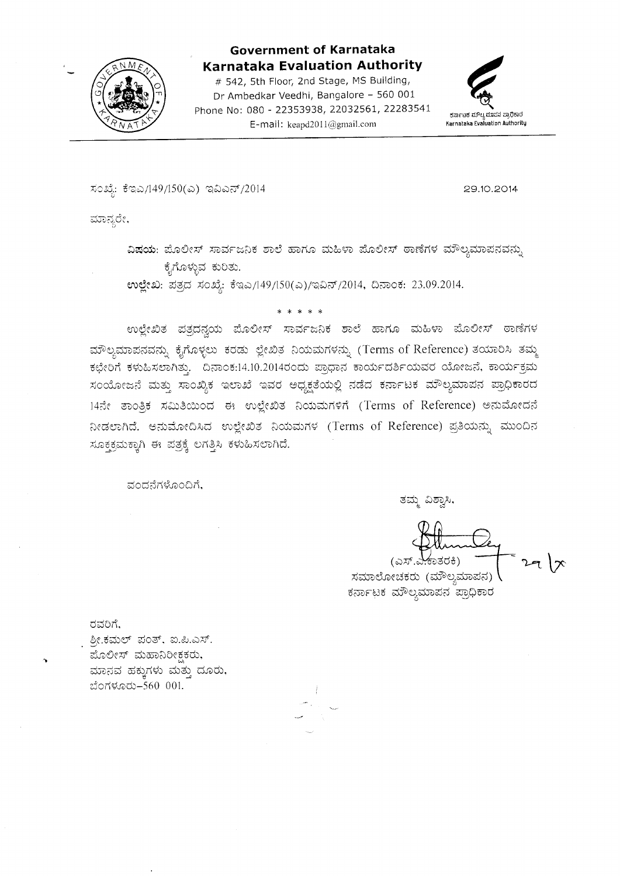

#### **Government of Karnataka Karnataka Evaluation Authority**

# 542, 5th Floor, 2nd Stage, MS Building, Dr Ambedkar Veedhi, Bangalore - 560 001 Phone No: 080 - 22353938, 22032561, 22283541 E-mail: keapd2011@gmail.com



ಸಂಖ್ಯೆ: ಕೆಇಎ/149/150(ಎ) ಇವಿಎನ್/2014

29.10.2014

ಮಾನ್ಯರೇ,

ವಿಷಯ: ಪೊಲೀಸ್ ಸಾರ್ವಜನಿಕ ಶಾಲೆ ಹಾಗೂ ಮಹಿಳಾ ಪೊಲೀಸ್ ಠಾಣೆಗಳ ಮೌಲ್ಯಮಾಪನವನ್ನು ಕೈಗೊಳ್ಳುವ ಕುರಿತು.

ಉಲ್ಲೇಖ: ಪತ್ರದ ಸಂಖ್ಯೆ: ಕೆಇಎ/149/150(ಎ)/ಇವಿನ್/2014, ದಿನಾಂಕ: 23.09.2014.

\* \* \* \*

ಉಲ್ಲೇಖಿತ ಪತ್ರದನ್ನಯ ಪೊಲೀಸ್ ಸಾರ್ವಜನಿಕ ಶಾಲೆ ಹಾಗೂ ಮಹಿಳಾ ಪೊಲೀಸ್ ಠಾಣೆಗಳ ಮೌಲ್ಯಮಾಪನವನ್ನು ಕೈಗೊಳ್ಳಲು ಕರಡು ಲ್ಲೇಖಿತ ನಿಯಮಗಳನ್ನು (Terms of Reference) ತಯಾರಿಸಿ ತಮ್ಮ ಕಛೇರಿಗೆ ಕಳುಹಿಸಲಾಗಿತ್ತು. ದಿನಾಂಕ:14.10.2014ರಂದು ಪ್ರಾಧಾನ ಕಾರ್ಯದರ್ಶಿಯವರ ಯೋಜನೆ, ಕಾರ್ಯಕ್ರಮ ಸಂಯೋಜನೆ ಮತ್ತು ಸಾಂಖ್ಯಿಕ ಇಲಾಖೆ ಇವರ ಅಧ್ಯಕ್ಷತೆಯಲ್ಲಿ ನಡೆದ ಕರ್ನಾಟಕ ಮೌಲ್ಯಮಾಪನ ಪ್ರಾಧಿಕಾರದ 14ನೇ ತಾಂತ್ರಿಕ ಸಮಿತಿಯಿಂದ ಈ ಉಲ್ಲೇಖಿತ ನಿಯಮಗಳಿಗೆ (Terms of Reference) ಅನುಮೋದನೆ ನೀಡಲಾಗಿದೆ. ಅನುಮೋದಿಸಿದ ಉಲ್ಲೇಖಿತ ನಿಯಮಗಳ (Terms of Reference) ಪ್ರತಿಯನ್ನು ಮುಂದಿನ ಸೂಕ್ಷಕ್ರಮಕ್ಕಾಗಿ ಈ ಪತ್ರಕ್ಕೆ ಲಗತ್ತಿಸಿ ಕಳುಹಿಸಲಾಗಿದೆ.

ವಂದನೆಗಳೊಂದಿಗೆ,

ತಮ್ಮ ವಿಶ್ವಾಸಿ,

(ಎಸ್.ಎ ಕಾತರಕಿ) ಸಮಾಲೋಚಕರು (ಮೌಲ್ಯಮಾಪನ) ಕರ್ನಾಟಕ ಮೌಲ್ಯಮಾಪನ ಪ್ರಾಧಿಕಾರ

ರವರಿಗೆ,

ಶ್ರೀ.ಕಮಲ್ ಪಂತ್, ಐ.ಪಿ.ಎಸ್. ಮೊಲೀಸ್ ಮಹಾನಿರೀಕ್ಷಕರು, ಮಾನವ ಹಕ್ಕುಗಳು ಮತ್ತು ದೂರು, ಬೆಂಗಳೂರು-560 001.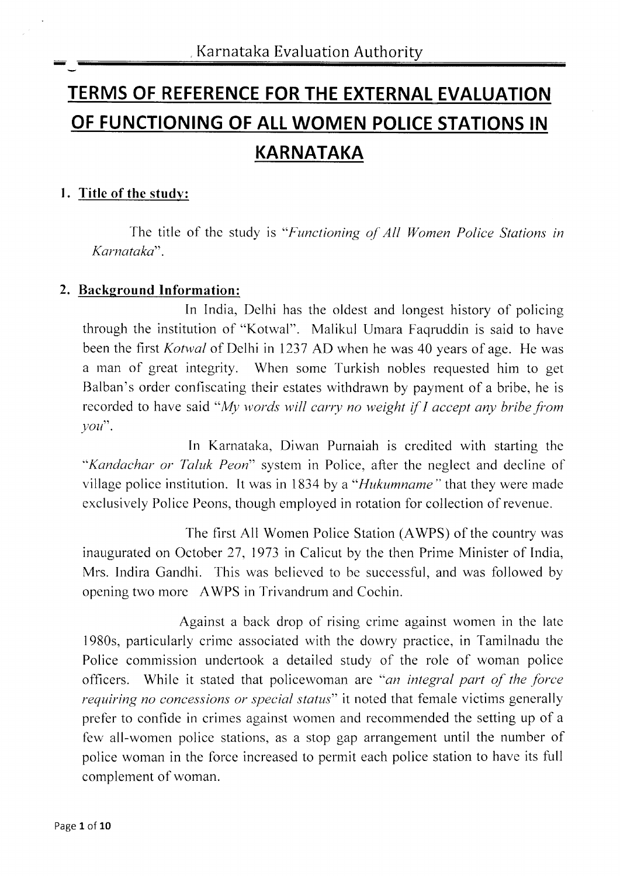# TERMS OF REFERENCE FOR THE EXTERNAL EVALUATION OF FUNCTIONING OF ALL WOMEN POLICE STATIONS IN KARNATAKA

#### l. Title of the study:

The title of the study is "Functioning of All Women Police Stations in Karnataka".

#### 2. Background Information:

In India, Delhi has the oldest and longest history of policing through the institution of "Kotwal". Malikul lJmara Faqruddin is said to have been the first *Kotwal* of Delhi in 1237 AD when he was 40 years of age. He was a man of great integrity. When some Turkish nobles requested him to get Balban's order confiscating their estates withdrawn by payment of a bribe, he is recorded to have said "My words will carry no weight if  $I$  accept any bribe from  $\gamma \circ u$ ".

In Karnataka, Diwan Purnaiah is credited with starting the "Kandachar or Taluk Peon" system in Police, after the neglect and decline of village police institution. It was in 1834 by a "*Hukumname*" that they were made exclusively Police Peons, though employed in rotation for collection of revenue.

The first All Women Police Station (AWPS) of the country was inaugurated on October 27, 1973 in Calicut by the then Prime Minister of India, Mrs. Indira Gandhi. This was believed to be successful, and was followed by opening two more AWPS in Trivandrum and Cochin.

Against a back drop of rising crime against women in the late 1980s, particularly crime associated with the dowry practice, in Tamilnadu the Police commission undertook a detailed study of the role of woman police officers. While it stated that policewoman are "an integral part of the force requiring no concessions or special status" it noted that female victims generally prefer to confide in crimes against women and recommended the setting up of a few all-women police stations, as a stop gap arrangement until the number of police woman in the force increased to permit each police station to have its full complement of woman.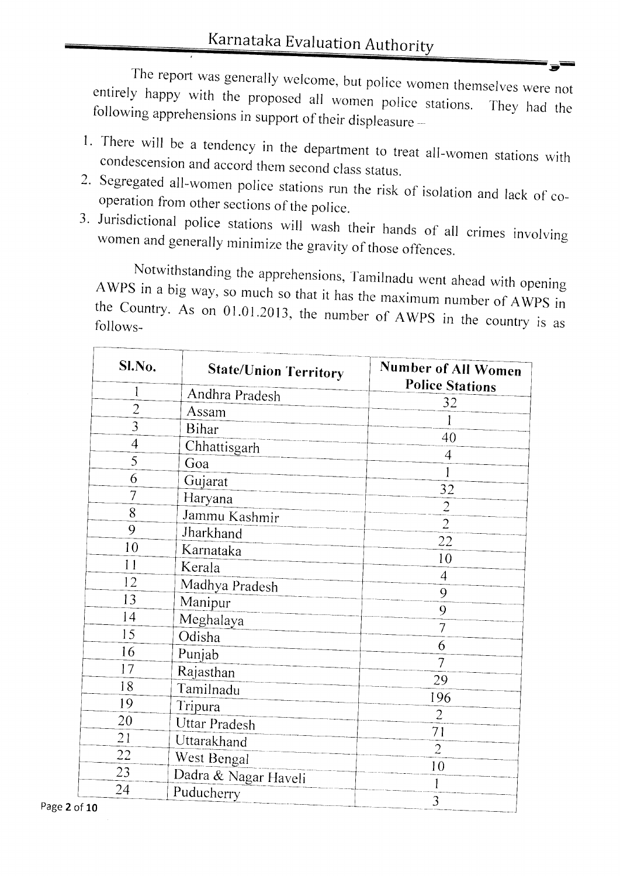The report was generally welcome, but police women themselves were not entirely happy with the proposed all women police stations. They had the following apprehensions in support of their displeasure -

- 1. There will be a tendency in the department to treat all-women stations with condescension and accord them second class status.
- 2. Segregated all-women police stations run the risk of isolation and lack of cooperation from other sections of the police.
- 3. Jurisdictional police stations will wash their hands of all crimes involving women and generally minimize the gravity of those offences.

Notwithstanding the apprehensions, Tamilnadu went ahead with opening AWPS in a big way, so much so that it has the maximum number of AWPS in the Country. As on 01.01.2013, the number of AWPS in the country is as follows-

| Sl.No.         | <b>State/Union Territory</b> | Number of All Women<br><b>Police Stations</b> |
|----------------|------------------------------|-----------------------------------------------|
| 1              | Andhra Pradesh               | 32                                            |
| $\overline{2}$ | Assam                        |                                               |
| $\overline{3}$ | <b>Bihar</b>                 |                                               |
| $\overline{4}$ | Chhattisgarh                 | 40                                            |
| 5              | Goa                          | 4                                             |
| 6              | Gujarat                      |                                               |
| 7              | Haryana                      | 32                                            |
| 8              | Jammu Kashmir                | $\overline{2}$                                |
| 9              | Jharkhand                    | $\overline{2}$                                |
| 10             | Karnataka                    | 22                                            |
| 11             | Kerala                       | 10                                            |
| 12             | Madhya Pradesh               | $\overline{4}$                                |
| 13             | Manipur                      | 9                                             |
| 14             | Meghalaya                    | 9                                             |
| 15             | Odisha                       | $\overline{7}$                                |
| 16             | Punjab                       | 6                                             |
| 17             | Rajasthan                    | $\overline{\overline{1}}$                     |
| 18             | Tamilnadu                    | 29                                            |
| 19             | Tripura                      | 196                                           |
| 20             | <b>Uttar Pradesh</b>         | $\overline{2}$                                |
| 21             | Uttarakhand                  | 71                                            |
| 22             |                              | $\overline{2}$                                |
| 23             | West Bengal                  | 10                                            |
| 24             | Dadra & Nagar Haveli         | 1                                             |
| $\sim$         | Puducherry                   | 3                                             |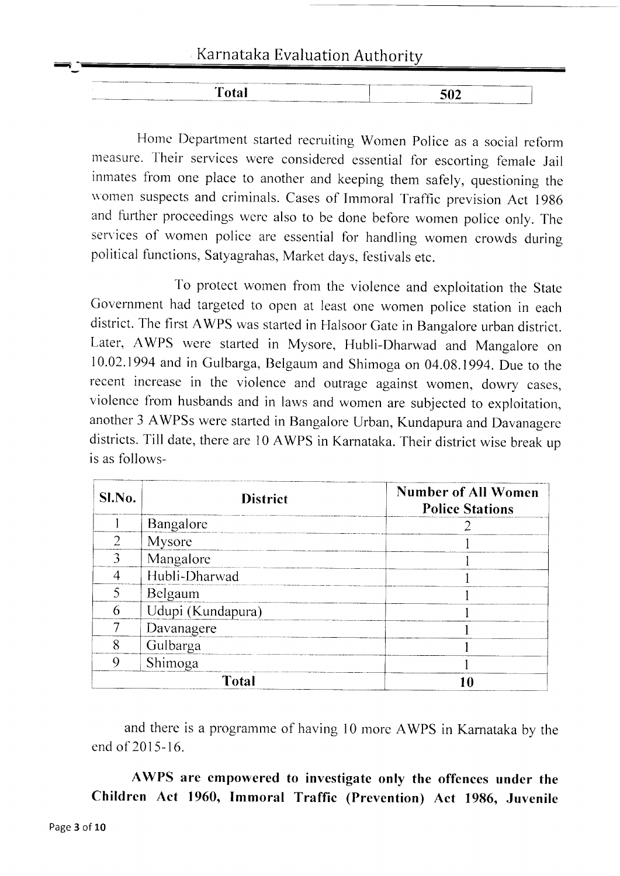### Karnataka Evaluation Authority <sup>q</sup>

| 502<br>____<br>___ |
|--------------------|
|                    |

Home Department started recruiting Women Police as a social reform measure. Their services were considered essential for escorting female Jail inrnates from one place to another and keeping them safely, questioning the \\'omen suspects and crirninals. Cases of Immoral Traffic prevision Act <sup>1986</sup> and further proceedings were also to be done before women police only. The services of women police are essential for handling women crowds during political functions, Satyagrahas, Market days, festivals etc.

To protect women from the violence and exploitation the State Government had targeted to open at least one women police station in each district. The first AWPS was started in Halsoor Gate in Bangalore urban district. Later, AWPS were started in Mysore, Hubli-Dharwad and Mangalore on 10.02.1994 and in Gulbarga, Belgaum and Shimoga on 04.08.1994. Due to the recent increase in the violence and outrage against women, dowry cases, violence from husbands and in laws and women are subjected to exploitation, another 3 AWPSs were started in Bangalore Urban, Kundapura and Davanagere districts. Till date, there are 10 AWPS in Karnataka. Their district wise break up is as follows-

| Sl.No.             | <b>District</b>   | <b>Number of All Women</b><br><b>Police Stations</b> |
|--------------------|-------------------|------------------------------------------------------|
|                    | Bangalore         |                                                      |
| $\overline{2}$     | Mysore            |                                                      |
|                    | Mangalore         |                                                      |
| Hubli-Dharwad<br>4 |                   |                                                      |
| 5<br>Belgaum       |                   |                                                      |
| 6                  | Udupi (Kundapura) |                                                      |
|                    | Davanagere        |                                                      |
| 8                  | Gulbarga          |                                                      |
| 9                  | Shimoga           |                                                      |
|                    | Total             |                                                      |

and there is a programme of having 10 more AWPS in Karnataka by the end of 2015-16.

AWPS are empowered to investigate only the offences under the Children Act 1960, Immoral Traffic (Prevention) Act 1986, Juvenile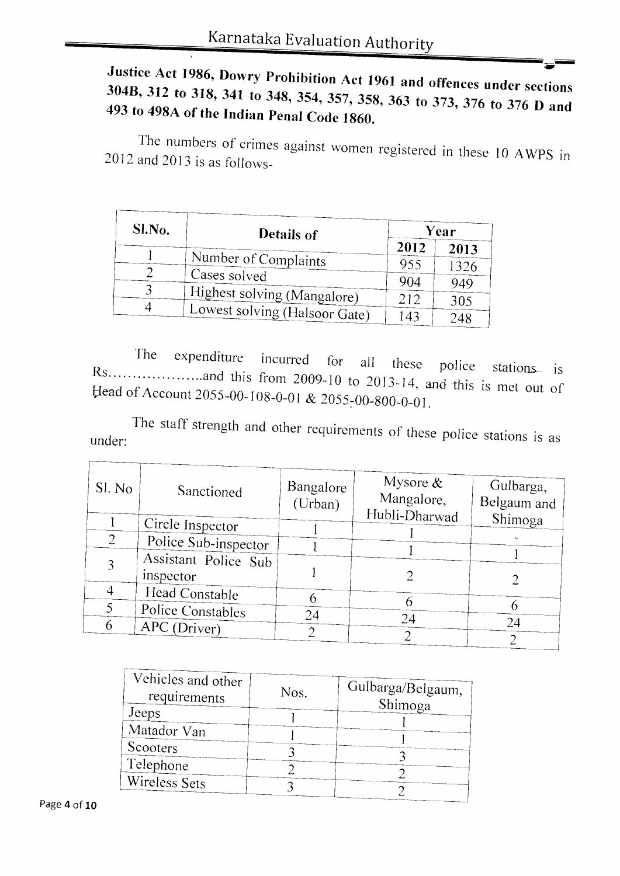### Justice Act 1986, Dowry Prohibition Act 1961 and offences under sections 304B, 312 to 318, 341 to 348, 354, 357, 358, 363 to 373, 376 to 376 D and 493 to 498A of the Indian Penal Code 1860.

The numbers of crimes against women registered in these 10 AWPS in 2012 and 2013 is as follows-

| Sl.No. | Details of                    | Year |      |
|--------|-------------------------------|------|------|
|        |                               | 2012 | 2013 |
|        | Number of Complaints          | 955  | 1326 |
|        | Cases solved                  | 904  | 949  |
|        | Highest solving (Mangalore)   | 212  |      |
| 4      | Lowest solving (Halsoor Gate) |      | 305  |
|        |                               | 143  |      |

The expenditure incurred for all these police stations is Head of Account 2055-00-108-0-01 & 2055-00-800-0-01.

The staff strength and other requirements of these police stations is as under:

| Sl. No | Sanctioned           | Bangalore<br>(Urban) | Mysore $\&$<br>Mangalore, | Gulbarga,<br>Belgaum and |
|--------|----------------------|----------------------|---------------------------|--------------------------|
|        | Circle Inspector     |                      | Hubli-Dharwad             | Shimoga                  |
|        | Police Sub-inspector |                      |                           |                          |
|        | Assistant Police Sub |                      |                           |                          |
|        | inspector            |                      |                           |                          |
|        | Head Constable       |                      |                           |                          |
|        | Police Constables    | 24                   | 24                        |                          |
| 6      | APC (Driver)         |                      |                           | 24                       |
|        |                      |                      |                           |                          |

| Vehicles and other    | Nos. | Gulbarga/Belgaum, |  |
|-----------------------|------|-------------------|--|
| requirements<br>Jeeps |      | Shimoga           |  |
| Matador Van           |      |                   |  |
| Scooters              |      |                   |  |
| Telephone             |      |                   |  |
| Wireless Sets         |      |                   |  |
|                       |      |                   |  |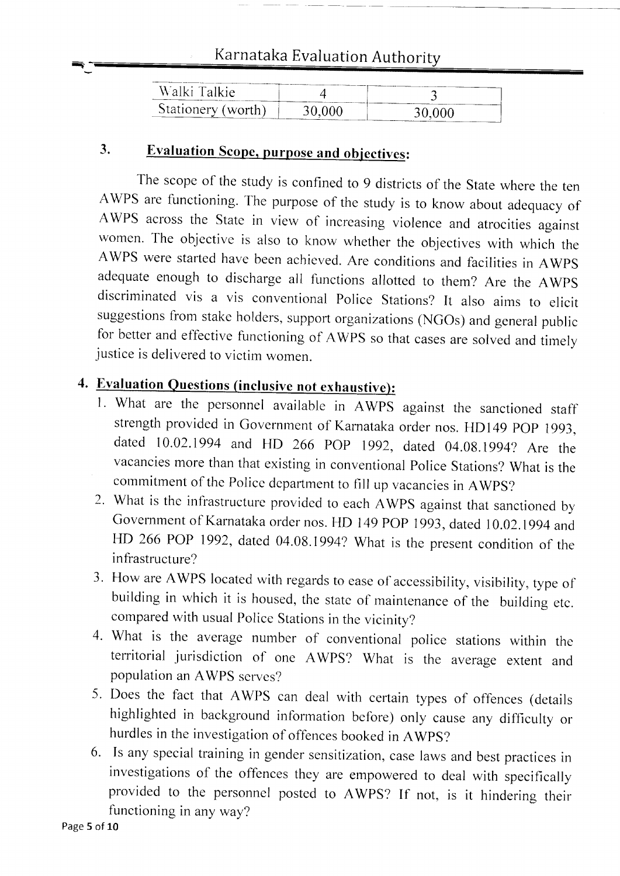### Karnataka Evaluation Authorit

| Walki Talkie.      |        |       |
|--------------------|--------|-------|
| Stationery (worth) | 30 OOO | 30 AC |
|                    |        |       |

### 3. Evaluation Scope, purpose and objectives:

The scope of the study is confined to 9 districts of the State where the ten AWPS are functioning. The purpose of the study is to know about adequacy of AWPS across the State in view of increasing violence and atrocities against women. The objective is also to know whether the objectives with which the AWPS were started have becn achieved. Are conditions and facilities in AWPS adequate enough to discharge all functions allotted to them? Are the AWPS discriminated vis a vis conventional Police Stations? It also aims to elicit suggestions from stake holders, support organizations (NGOs) and general public for better and effective functioning of AWPS so that cases are solved and timely justice is delivered to victim women.

### 4. Evaluation Questions (inclusive not exhaustive):

- l. What are the personnel available in AWPS against the sanctioned staff strength provided in Government of Karnataka order nos. HD149 POP 1993, dated 10.02.1994 and HD 266 POP 1992, dated 04.08.1994? Are the vacancies more than that existing in conventional Police Stations? What is the commitment of the Police department to fill up vacancies in AWPS?
- 2. What is the infrastructure provided to each AWPS against that sanctioned by Government of Karnataka order nos. HD 149 POP 1993, dated 10.02.1994 and HD 266 POP 1992, dated 04.08.1994? What is the present condition of the infrastructure?
- 3. FIow are AWPS located with regards to ease of accessibility, visibility, type of building in which it is housed, the state of maintenance of the building etc. compared with usual police Stations in the vicinity?
- 4. What is the average number of conventional police stations within the territorial jurisdiction of one AWPS? What is the average extent and population an AWPS serves?
- 5. Does the fact that AWPS can deal with certain types of offences (details highlighted in background inforrnation before) only cause any difficulty or hurdles in the investigation of offences booked in AWpS?
- 6. Is any special training in gender sensitization, case laws and best practices in investigations of the offences they are empowered to deal with specifically provided to the personnel posted to AWPS? If not, is it hindering their functioning in any way?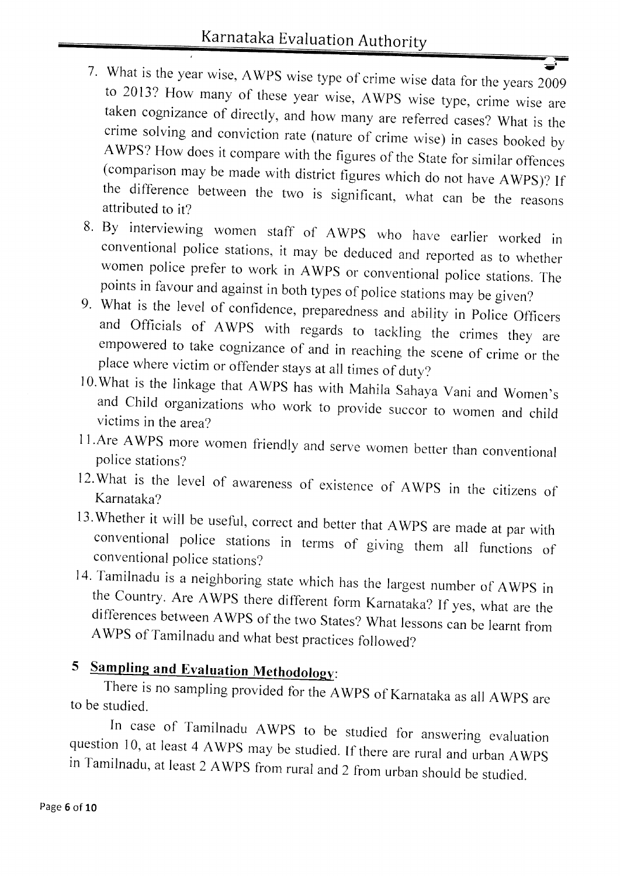- 7. What is the year wise, AWPS wise type of crime wise data for the years 2009 to 2013? How many of these year wise, AWPS wise type, crime wise are taken cognizance of directly, and how many are referred cases? What is the
- 8. By interviewing women staff of AWPS who have earlier worked in conventional police stations, it may be deduced and reported as to whether women police prefer to work in AWPS or conventional police stations. The points in favour and against in both types of police stations may be given?
- 9. What is the level of confidence, preparedness and ability in Police Officers<br>and Officials of AWPS with regards to tackling the crimes they are<br>empowered to take cognizance of and in reaching the scene of crime or the<br>p
- 
- ILAre AWPS more women friendly and serve women better than conventional police stations?
- l2.What is the level of awareness of existence of AWPS in the citizens of Karnataka?
- 13. Whether it will be useful, correct and better that AWPS are made at par with conventional police stations in terrns of giving them all functions of conventional police stations?
- 14. Tamilnadu is a neighboring state which has the largest number of AWPS in the Country. Are AWPS there different form Karnataka? If yes, what are the differences between AWPS of the two States? What lessons can be learnt

## 5 Sampling and Evaluation Methodology:

There is no sampling provided for the AWPS of Karnataka as all AWPS are to be studied.

In case of Tamilnadu AWPS to be studied for answering evaluation question 10, at least 4 AWPS may be studied. If there are rural and urban AWPS in Tamilnadu, at least 2 AWPS from rural and 2 from urban should be studied.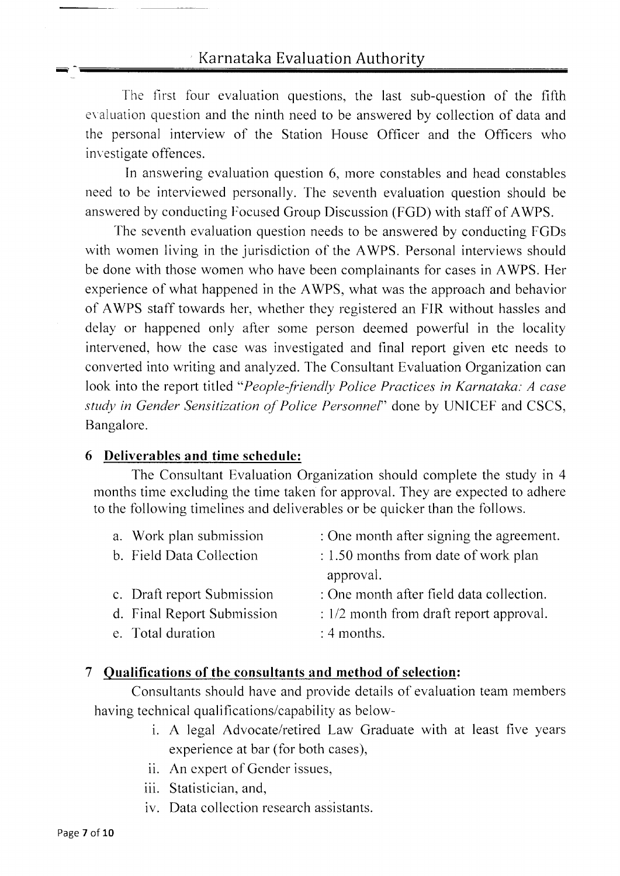The first four evaluation questions, the last sub-question of the fifth evaluation question and the ninth need to be answered by collection of data and the personal interview of the Station House Officer and the Officers who investigate offences.

In answering evaluation question 6, more constables and head constables need to be interviewed personally. The seventh evaluation question should be answered by conducting Focused Group Discussion (FGD) with staff of AWPS.

fhe seventh evaluation question needs to be answered by conducting FGDs with women living in the jurisdiction of the AWPS. Personal interviews should be done with those women who have been complainants for cases in AWPS. Her experience of what happened in the AWPS, what was the approach and behavior of AWPS staff towards her, whether they registered an FIR without hassles and delay or happened only after some person deemed powerful in the locality intervened, how the casc was investigated and final report given etc needs to converted into writing and analyzed. The Consultant Evaluation Organization can look into the report titled "People-friendly Police Practices in Karnataka: A case study in Gender Sensitization of Police Personnel" done by UNICEF and CSCS, Bangalore.

#### 6 Deliverables and time schedule:

The Consultant Evaluation Organization should complete the study in 4 months time excluding the time taken for approval. They are expected to adhere to the following timelines and deliverables or be quicker than the follows.

| a. Work plan submission    | : One month after signing the agreement.  |
|----------------------------|-------------------------------------------|
| b. Field Data Collection   | : 1.50 months from date of work plan      |
|                            | approval.                                 |
| c. Draft report Submission | : One month after field data collection.  |
| d. Final Report Submission | $: 1/2$ month from draft report approval. |
| e. Total duration          | $: 4$ months.                             |

#### 7 Oualifications of the consultants and method of selection:

Consultants should have and provide details of evaluation team members having technical qualifications/capability as below-

- i. A legal Advocate/retired Law Graduate with at least five years experience at bar (for both cases),
- ii. An expert of Gender issues,
- iii. Statistician, and,
- iv. Data collection research assistants.

---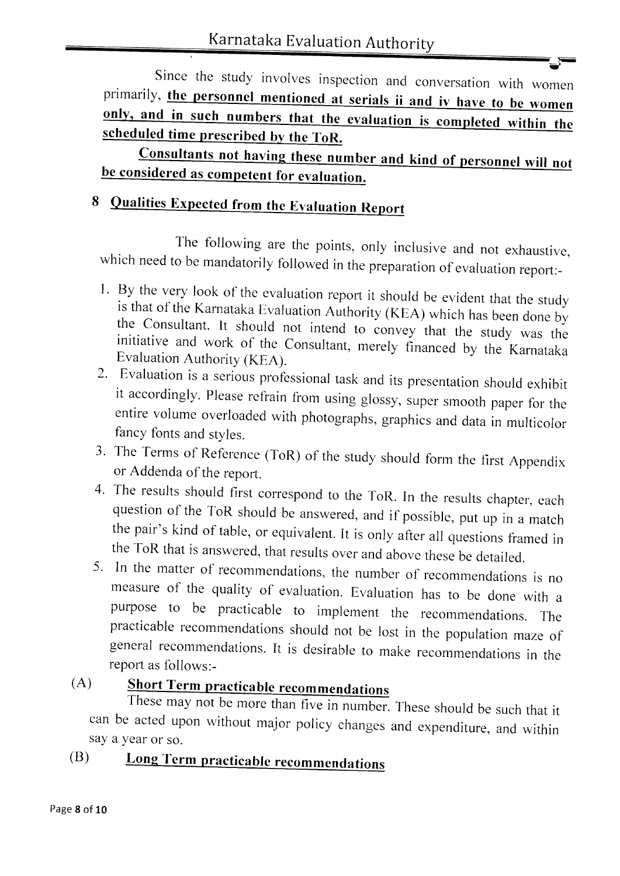Since the study involves inspection and conversation with women primarily, the personnel mentioned at serials ii and iv have to be women only, and in such numbers that the evaluation is completed within the scheduled time prescribed by the ToR.

Consultants not having these number and kind of personnel will not be considered as competent for evaluation.

## 8 Qualities Expected from the Evaluation Report

The following are the points, only inclusive and not exhaustive, which need to be mandatorily followed in the preparation of evaluation report:-

- 1. By the very look of the evaluation report it should be evident that the study<br>is that of the Karnataka Evaluation Authority (KEA) which has been done by<br>the Consultant. It should not intend to convey that the study was
- fancy fonts and styles.
- 3. The Terms of Reference (ToR) of the study should form the first Appendix or Addenda of the report.
- 4. The results should first correspond to the ToR. In the results chapter, each question of the ToR should be answered, and if possible, put up in a match the pair's kind of table, or equivalent. It is only after all quest
- measure of the quality of evaluation. Evaluation has to be done with <sup>a</sup> purpose to be practicable to implement the recommendations. The practicable recommendations should not be lost in the population maze of general recommendations. It is desirable to make recommendations in the report as fol

### (A)

can say a year or so. These may not be more than five in number. These should be such that it be acted upon without major policy changes and expenditure, and within

#### (B) Long Term practicable recommendations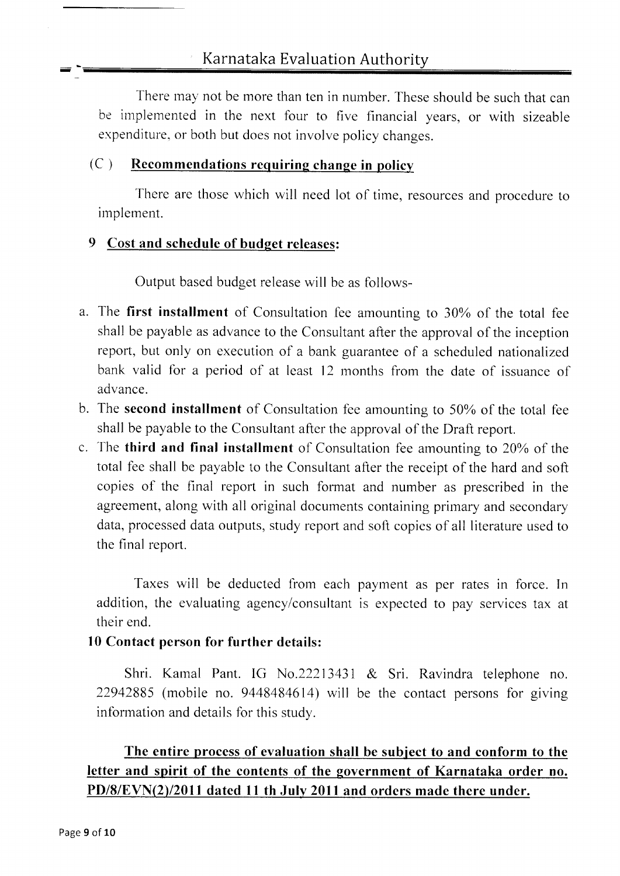Karnataka Evaluation Authority

There may not be more than ten in number. These should be such that can be implemented in the next four to five financial years, or with sizeable expenditure, or both but does not involve policy changes.

#### $(C)$  Recommendations requiring change in policy

There are those which will need lot of time, resources and procedure to implement.

### 9 Cost and schedule of budget releases:

Output based budget release will be as follows-

- a. The first installment of Consultation fee amounting to 30% of the total fee shall be payable as advance to the Consultant after the approval of the inception report, but only on execution of a bank guarantee of a scheduled nationalized bank valid for a period of at least 12 months from the date of issuance of advance.
- b. The second installment of Consultation fee amounting to 50% of the total fee shall be payable to the Consultant after the approval of the Draft reporl.
- c. The third and final installment of Consultation fee amounting to  $20\%$  of the total fee shall be payable to the Consultant after the receipt of the hard and soft copies of the final report in such format and number as prescribed in the agreement, along with all original documents containing primary and secondary data, processed data outputs, study report and soft copies of all literature used to the final report.

Taxes will be deducted from each payment as per rates in force. In addition, the evaluating agency/consultant is expected to pay services tax at their end.

#### l0 Contact person for further dctails:

Shri. Kamal Pant. IG No.22213431 & Sri. Ravindra telephone no. 22942885 (mobile no. 9448484614) will be the contact persons for giving information and details for this study.

### The entire process of evaluation shall be subject to and conform to the letter and spirit of the contents of the government of Karnataka order no.  $PD/8/EVN(2)/2011$  dated 11 th July 2011 and orders made there under.